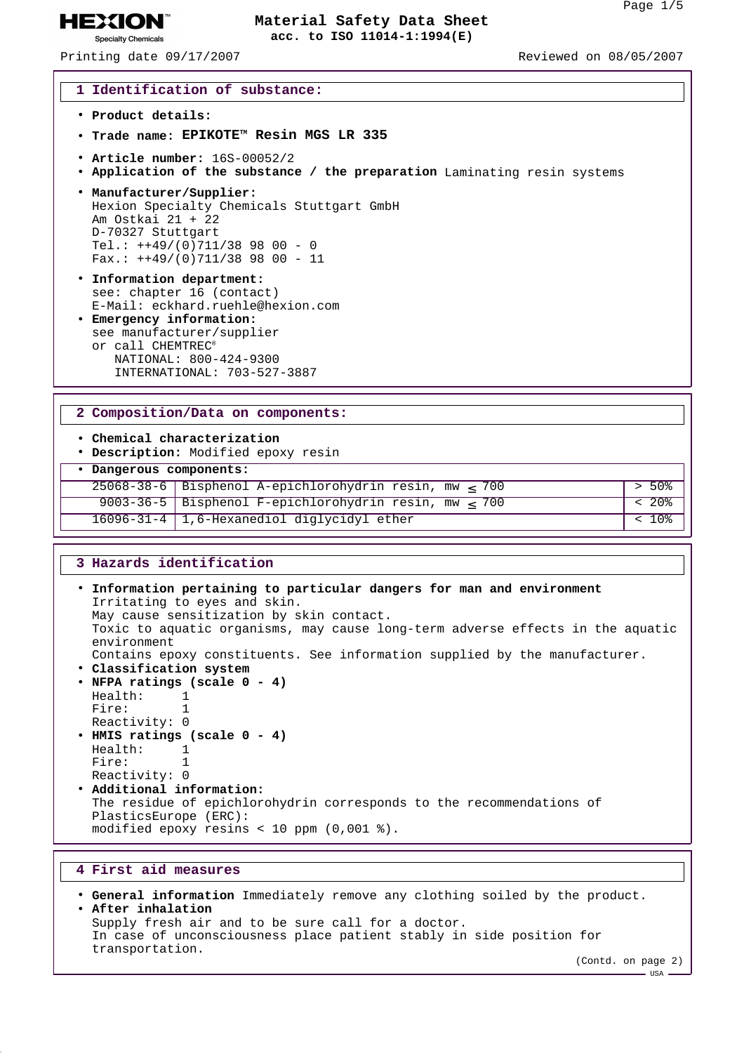Printing date 09/17/2007 Reviewed on 08/05/2007

**HEXION® Specialty Chemicals** 

### **1 Identification of substance:**

- **Product details:**
- **Trade name: EPIKOTETM Resin MGS LR 335**
- **Article number:** 16S-00052/2
- **Application of the substance / the preparation** Laminating resin systems
- **Manufacturer/Supplier:** Hexion Specialty Chemicals Stuttgart GmbH Am Ostkai 21 + 22 D-70327 Stuttgart Tel.:  $+49/(0)711/389800 - 0$ Fax.:  $+49/(0)711/389800 - 11$
- **Information department:** see: chapter 16 (contact) E-Mail: eckhard.ruehle@hexion.com
- **Emergency information:** see manufacturer/supplier or call CHEMTREC® NATIONAL: 800-424-9300 INTERNATIONAL: 703-527-3887

### **2 Composition/Data on components:**

- **Chemical characterization**
- **Description:** Modified epoxy resin

## • **Dangerous components:**

25068-38-6 Bisphenol A-epichlorohydrin resin, mw ≤ 700 > 50% 9003-36-5 Bisphenol F-epichlorohydrin resin, mw ≤ 700 < 20% 16096-31-4 1,6-Hexanediol diglycidyl ether < 10%

## **3 Hazards identification**

```
• Information pertaining to particular dangers for man and environment
 Irritating to eyes and skin.
 May cause sensitization by skin contact.
 Toxic to aquatic organisms, may cause long-term adverse effects in the aquatic
 environment
 Contains epoxy constituents. See information supplied by the manufacturer.
• Classification system
• NFPA ratings (scale 0 - 4)
 Health: 1
 Fire: 1
 Reactivity: 0
• HMIS ratings (scale 0 - 4)
 Health: 1
 Fire: 1
 Reactivity: 0
• Additional information:
 The residue of epichlorohydrin corresponds to the recommendations of
 PlasticsEurope (ERC):
 modified epoxy resins < 10 ppm (0,001 %).
```
## **4 First aid measures**

```
• General information Immediately remove any clothing soiled by the product.
• After inhalation
 Supply fresh air and to be sure call for a doctor.
 In case of unconsciousness place patient stably in side position for
 transportation.
```
(Contd. on page 2)

 $-$  USA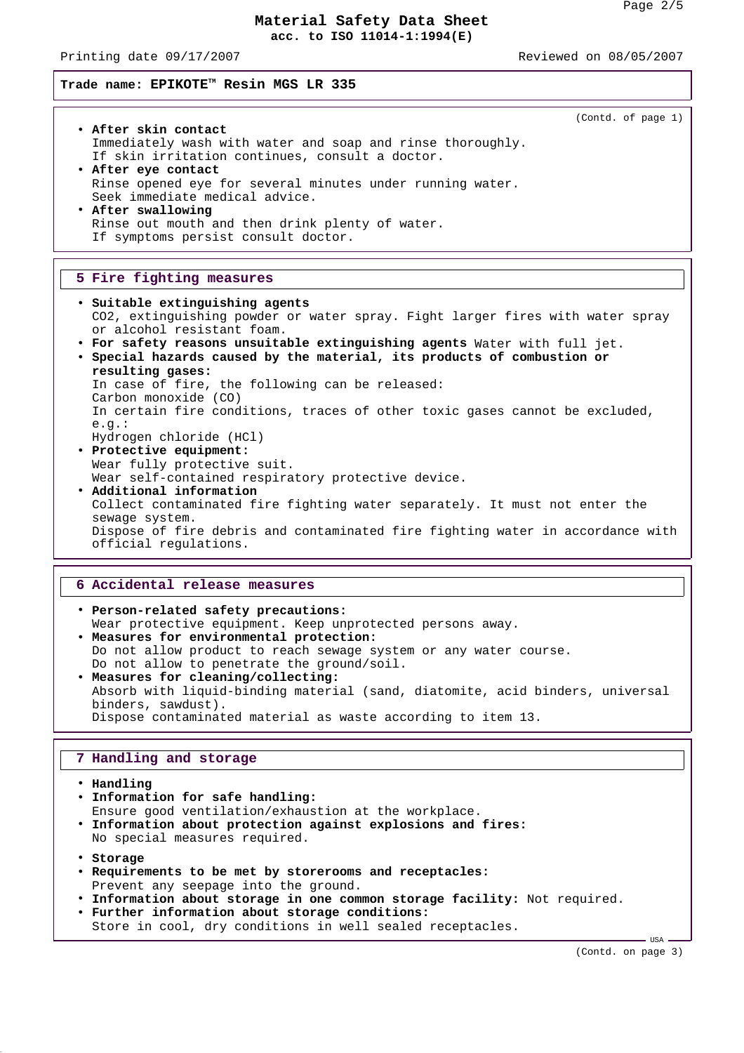Printing date 09/17/2007 Reviewed on 08/05/2007

(Contd. of page 1)

# **Trade name: EPIKOTETM Resin MGS LR 335**

- **After skin contact** Immediately wash with water and soap and rinse thoroughly. If skin irritation continues, consult a doctor.
- **After eye contact** Rinse opened eye for several minutes under running water. Seek immediate medical advice. • **After swallowing** Rinse out mouth and then drink plenty of water.
	- If symptoms persist consult doctor.

## **5 Fire fighting measures**

• **Suitable extinguishing agents** CO2, extinguishing powder or water spray. Fight larger fires with water spray or alcohol resistant foam. • **For safety reasons unsuitable extinguishing agents** Water with full jet. • **Special hazards caused by the material, its products of combustion or resulting gases:** In case of fire, the following can be released: Carbon monoxide (CO) In certain fire conditions, traces of other toxic gases cannot be excluded, e.g.: Hydrogen chloride (HCl) • **Protective equipment:** Wear fully protective suit. Wear self-contained respiratory protective device. • **Additional information** Collect contaminated fire fighting water separately. It must not enter the sewage system. Dispose of fire debris and contaminated fire fighting water in accordance with official regulations.

## **6 Accidental release measures**

• **Person-related safety precautions:** Wear protective equipment. Keep unprotected persons away. • **Measures for environmental protection:** Do not allow product to reach sewage system or any water course. Do not allow to penetrate the ground/soil. • **Measures for cleaning/collecting:** Absorb with liquid-binding material (sand, diatomite, acid binders, universal binders, sawdust). Dispose contaminated material as waste according to item 13.

# **7 Handling and storage**

- **Handling** • **Information for safe handling:** Ensure good ventilation/exhaustion at the workplace. • **Information about protection against explosions and fires:** No special measures required. • **Storage** • **Requirements to be met by storerooms and receptacles:** Prevent any seepage into the ground. • **Information about storage in one common storage facility:** Not required. • **Further information about storage conditions:**
	- Store in cool, dry conditions in well sealed receptacles.

(Contd. on page 3)

 $-$  USA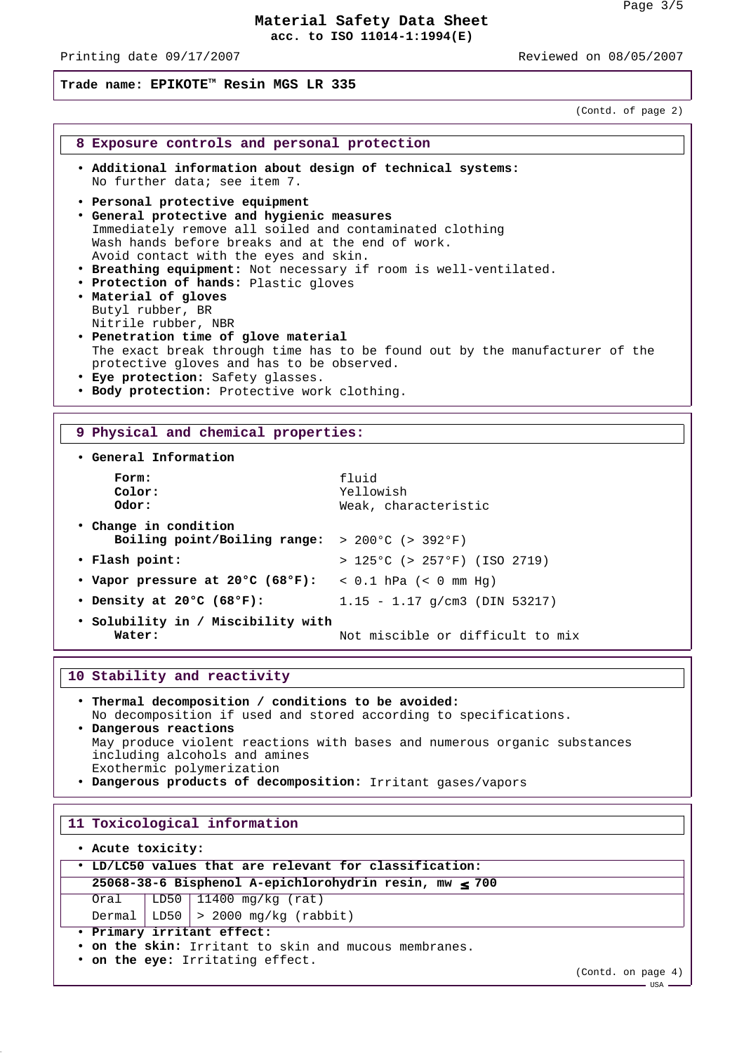Printing date 09/17/2007 Reviewed on 08/05/2007

# **Trade name: EPIKOTETM Resin MGS LR 335**

(Contd. of page 2)

### **8 Exposure controls and personal protection**

- **Additional information about design of technical systems:** No further data; see item 7.
- **Personal protective equipment**
- **General protective and hygienic measures** Immediately remove all soiled and contaminated clothing Wash hands before breaks and at the end of work. Avoid contact with the eyes and skin.
- **Breathing equipment:** Not necessary if room is well-ventilated.
- **Protection of hands:** Plastic gloves • **Material of gloves** Butyl rubber, BR Nitrile rubber, NBR
- **Penetration time of glove material** The exact break through time has to be found out by the manufacturer of the protective gloves and has to be observed.
- **Eye protection:** Safety glasses.
- **Body protection:** Protective work clothing.

## **9 Physical and chemical properties:**

• **General Information**

| Form:<br>Color:<br>Odor:                                                                   | fluid<br>Yellowish<br>Weak, characteristic |
|--------------------------------------------------------------------------------------------|--------------------------------------------|
| • Change in condition<br>Boiling point/Boiling range: $> 200^{\circ}$ ( $> 392^{\circ}$ F) |                                            |
| • Flash point:                                                                             | $> 125^{\circ}$ C (> 257°F) (ISO 2719)     |
| • Vapor pressure at 20°C (68°F): < 0.1 hPa (< 0 mm Hq)                                     |                                            |
| • Density at 20 $\degree$ C (68 $\degree$ F):                                              | $1.15 - 1.17$ q/cm3 (DIN 53217)            |
| • Solubility in / Miscibility with<br>Water:                                               | Not miscible or difficult to mix           |

## **10 Stability and reactivity**

- **Thermal decomposition / conditions to be avoided:** No decomposition if used and stored according to specifications. • **Dangerous reactions** May produce violent reactions with bases and numerous organic substances including alcohols and amines Exothermic polymerization
- **Dangerous products of decomposition:** Irritant gases/vapors

### **11 Toxicological information**

• **Acute toxicity:**

| . LD/LC50 values that are relevant for classification: |  |                                             |  |  |
|--------------------------------------------------------|--|---------------------------------------------|--|--|
| 25068-38-6 Bisphenol A-epichlorohydrin resin, mw < 700 |  |                                             |  |  |
|                                                        |  | Oral   LD50   11400 mg/kg (rat)             |  |  |
|                                                        |  | Dermal   LD50 $\vert$ > 2000 mg/kg (rabbit) |  |  |
| . Primary irritant effect:                             |  |                                             |  |  |
| • on the skin: Irritant to skin and mucous membranes.  |  |                                             |  |  |

• **on the eye:** Irritating effect.

(Contd. on page 4)

 $-$  USA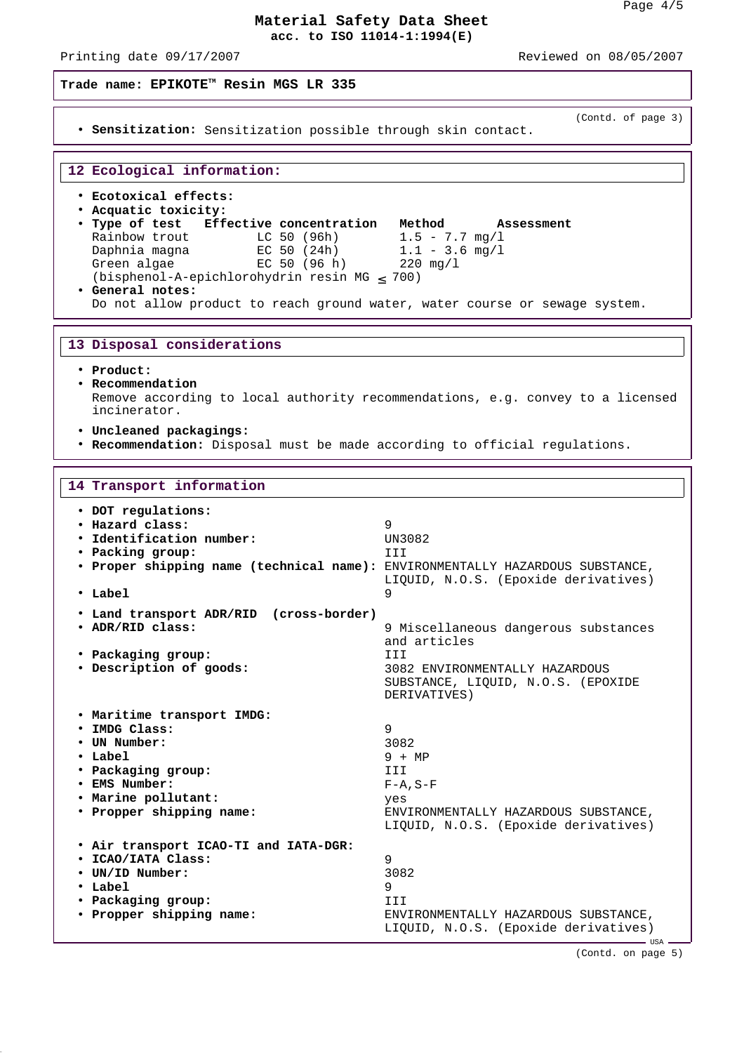Printing date 09/17/2007 Reviewed on 08/05/2007

## **Trade name: EPIKOTETM Resin MGS LR 335**

• **Sensitization:** Sensitization possible through skin contact.

(Contd. of page 3)

### **12 Ecological information:**

- **Ecotoxical effects:**
- **Acquatic toxicity:**
- **Type of test Effective concentration Method Assessment** Rainbow trout  $LC 50 (96h)$  1.5 - 7.7 mg/l Daphnia magna EC 50 (24h) 1.1 - 3.6 mg/l Green algae EC 50 (96 h) 220 mg/l (bisphenol-A-epichlorohydrin resin MG  $\leq$  700) • **General notes:** Do not allow product to reach ground water, water course or sewage system.

## **13 Disposal considerations**

- **Product:**
- **Recommendation**

Remove according to local authority recommendations, e.g. convey to a licensed incinerator.

- **Uncleaned packagings:**
- **Recommendation:** Disposal must be made according to official regulations.

#### **14 Transport information**

| • DOT regulations:<br>• Hazard class:<br>• Identification number:<br>• Packing group:<br>. Proper shipping name (technical name): ENVIRONMENTALLY HAZARDOUS SUBSTANCE,<br>• Label<br>• Land transport ADR/RID (cross-border) | 9<br>UN3082<br>III<br>LIQUID, N.O.S. (Epoxide derivatives)<br>9                      |
|------------------------------------------------------------------------------------------------------------------------------------------------------------------------------------------------------------------------------|--------------------------------------------------------------------------------------|
| • ADR/RID class:                                                                                                                                                                                                             | 9 Miscellaneous dangerous substances<br>and articles                                 |
| • Packaging group:                                                                                                                                                                                                           | TTT                                                                                  |
| · Description of goods:                                                                                                                                                                                                      | 3082 ENVIRONMENTALLY HAZARDOUS<br>SUBSTANCE, LIQUID, N.O.S. (EPOXIDE<br>DERIVATIVES) |
| . Maritime transport IMDG:                                                                                                                                                                                                   |                                                                                      |
| · IMDG Class:                                                                                                                                                                                                                | 9                                                                                    |
| • UN Number:                                                                                                                                                                                                                 | 3082                                                                                 |
| $\cdot$ Label                                                                                                                                                                                                                | $9 + MP$                                                                             |
| • Packaging group:                                                                                                                                                                                                           | TTT                                                                                  |
| • EMS Number:                                                                                                                                                                                                                | $F-A$ , $S-F$                                                                        |
| . Marine pollutant:                                                                                                                                                                                                          | yes                                                                                  |
| • Propper shipping name:                                                                                                                                                                                                     | ENVIRONMENTALLY HAZARDOUS SUBSTANCE,<br>LIQUID, N.O.S. (Epoxide derivatives)         |
| . Air transport ICAO-TI and IATA-DGR:                                                                                                                                                                                        |                                                                                      |
| · ICAO/IATA Class:                                                                                                                                                                                                           | 9                                                                                    |
| • UN/ID Number:                                                                                                                                                                                                              | 3082                                                                                 |
| • Label                                                                                                                                                                                                                      | 9                                                                                    |
| • Packaging group:                                                                                                                                                                                                           | III                                                                                  |
| • Propper shipping name:                                                                                                                                                                                                     | ENVIRONMENTALLY HAZARDOUS SUBSTANCE,<br>LIOUID, N.O.S. (Epoxide derivatives)         |

(Contd. on page 5)

 $-$  USA